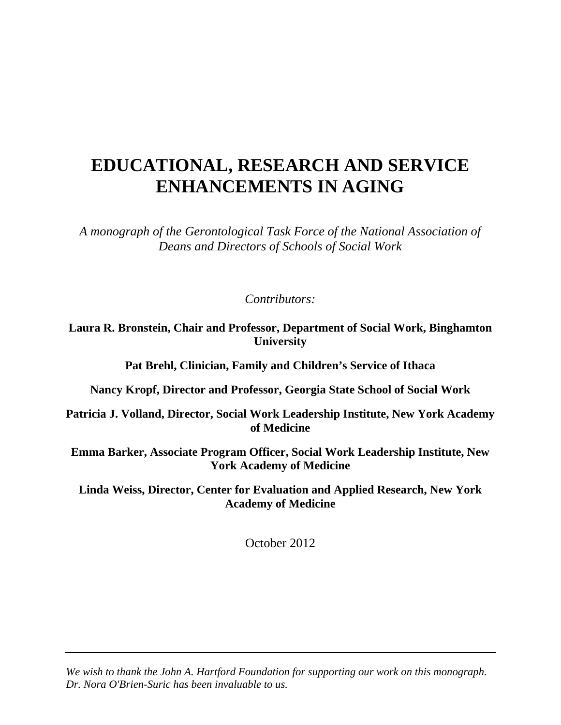# **EDUCATIONAL, RESEARCH AND SERVICE ENHANCEMENTS IN AGING**

*A monograph of the Gerontological Task Force of the National Association of Deans and Directors of Schools of Social Work* 

*Contributors:* 

**Laura R. Bronstein, Chair and Professor, Department of Social Work, Binghamton University** 

**Pat Brehl, Clinician, Family and Children's Service of Ithaca** 

**Nancy Kropf, Director and Professor, Georgia State School of Social Work** 

**Patricia J. Volland, Director, Social Work Leadership Institute, New York Academy of Medicine** 

**Emma Barker, Associate Program Officer, Social Work Leadership Institute, New York Academy of Medicine** 

**Linda Weiss, Director, Center for Evaluation and Applied Research, New York Academy of Medicine** 

October 2012

*We wish to thank the John A. Hartford Foundation for supporting our work on this monograph. Dr. Nora O'Brien-Suric has been invaluable to us.*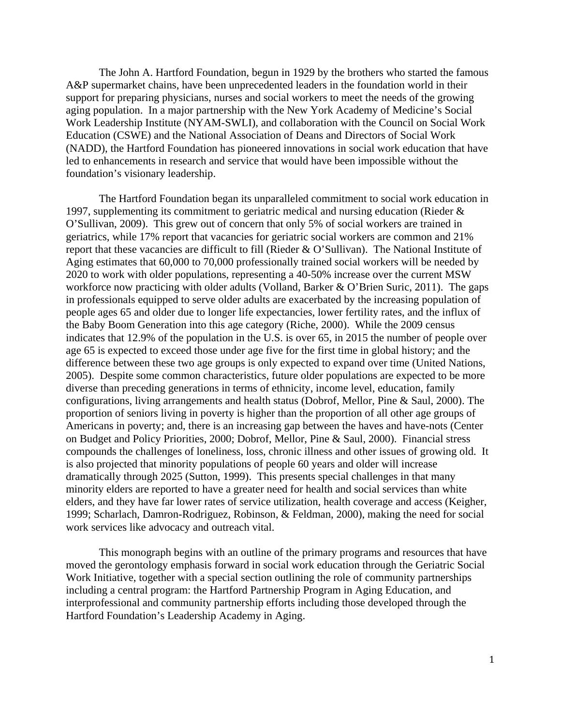The John A. Hartford Foundation, begun in 1929 by the brothers who started the famous A&P supermarket chains, have been unprecedented leaders in the foundation world in their support for preparing physicians, nurses and social workers to meet the needs of the growing aging population. In a major partnership with the New York Academy of Medicine's Social Work Leadership Institute (NYAM-SWLI), and collaboration with the Council on Social Work Education (CSWE) and the National Association of Deans and Directors of Social Work (NADD), the Hartford Foundation has pioneered innovations in social work education that have led to enhancements in research and service that would have been impossible without the foundation's visionary leadership.

The Hartford Foundation began its unparalleled commitment to social work education in 1997, supplementing its commitment to geriatric medical and nursing education (Rieder & O'Sullivan, 2009). This grew out of concern that only 5% of social workers are trained in geriatrics, while 17% report that vacancies for geriatric social workers are common and 21% report that these vacancies are difficult to fill (Rieder & O'Sullivan). The National Institute of Aging estimates that 60,000 to 70,000 professionally trained social workers will be needed by 2020 to work with older populations, representing a 40-50% increase over the current MSW workforce now practicing with older adults (Volland, Barker & O'Brien Suric, 2011). The gaps in professionals equipped to serve older adults are exacerbated by the increasing population of people ages 65 and older due to longer life expectancies, lower fertility rates, and the influx of the Baby Boom Generation into this age category (Riche, 2000). While the 2009 census indicates that 12.9% of the population in the U.S. is over 65, in 2015 the number of people over age 65 is expected to exceed those under age five for the first time in global history; and the difference between these two age groups is only expected to expand over time (United Nations, 2005). Despite some common characteristics, future older populations are expected to be more diverse than preceding generations in terms of ethnicity, income level, education, family configurations, living arrangements and health status (Dobrof, Mellor, Pine & Saul, 2000). The proportion of seniors living in poverty is higher than the proportion of all other age groups of Americans in poverty; and, there is an increasing gap between the haves and have-nots (Center on Budget and Policy Priorities, 2000; Dobrof, Mellor, Pine & Saul, 2000). Financial stress compounds the challenges of loneliness, loss, chronic illness and other issues of growing old. It is also projected that minority populations of people 60 years and older will increase dramatically through 2025 (Sutton, 1999). This presents special challenges in that many minority elders are reported to have a greater need for health and social services than white elders, and they have far lower rates of service utilization, health coverage and access (Keigher, 1999; Scharlach, Damron-Rodriguez, Robinson, & Feldman, 2000), making the need for social work services like advocacy and outreach vital.

This monograph begins with an outline of the primary programs and resources that have moved the gerontology emphasis forward in social work education through the Geriatric Social Work Initiative, together with a special section outlining the role of community partnerships including a central program: the Hartford Partnership Program in Aging Education, and interprofessional and community partnership efforts including those developed through the Hartford Foundation's Leadership Academy in Aging.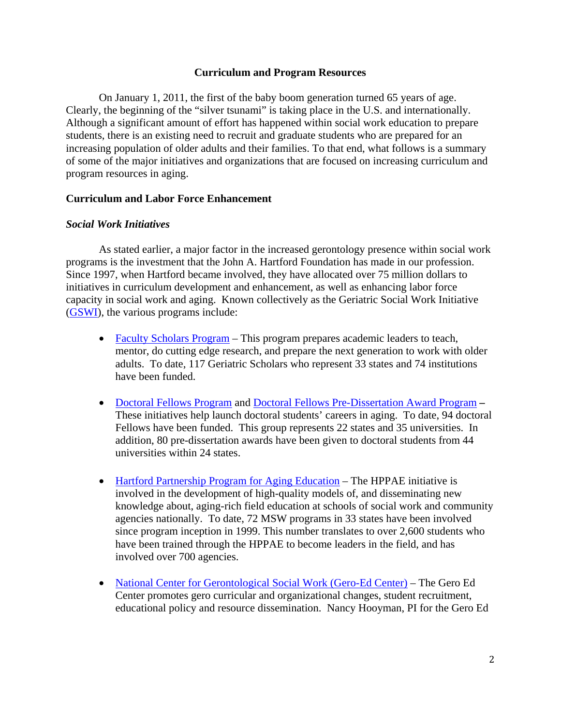## **Curriculum and Program Resources**

On January 1, 2011, the first of the baby boom generation turned 65 years of age. Clearly, the beginning of the "silver tsunami" is taking place in the U.S. and internationally. Although a significant amount of effort has happened within social work education to prepare students, there is an existing need to recruit and graduate students who are prepared for an increasing population of older adults and their families. To that end, what follows is a summary of some of the major initiatives and organizations that are focused on increasing curriculum and program resources in aging.

## **Curriculum and Labor Force Enhancement**

## *Social Work Initiatives*

As stated earlier, a major factor in the increased gerontology presence within social work programs is the investment that the John A. Hartford Foundation has made in our profession. Since 1997, when Hartford became involved, they have allocated over 75 million dollars to initiatives in curriculum development and enhancement, as well as enhancing labor force capacity in social work and aging. Known collectively as the Geriatric Social Work Initiative (GSWI), the various programs include:

- Faculty Scholars Program This program prepares academic leaders to teach, mentor, do cutting edge research, and prepare the next generation to work with older adults. To date, 117 Geriatric Scholars who represent 33 states and 74 institutions have been funded.
- Doctoral Fellows Program and Doctoral Fellows Pre-Dissertation Award Program These initiatives help launch doctoral students' careers in aging. To date, 94 doctoral Fellows have been funded. This group represents 22 states and 35 universities. In addition, 80 pre-dissertation awards have been given to doctoral students from 44 universities within 24 states.
- Hartford Partnership Program for Aging Education The HPPAE initiative is involved in the development of high-quality models of, and disseminating new knowledge about, aging-rich field education at schools of social work and community agencies nationally. To date, 72 MSW programs in 33 states have been involved since program inception in 1999. This number translates to over 2,600 students who have been trained through the HPPAE to become leaders in the field, and has involved over 700 agencies.
- National Center for Gerontological Social Work (Gero-Ed Center) The Gero Ed Center promotes gero curricular and organizational changes, student recruitment, educational policy and resource dissemination. Nancy Hooyman, PI for the Gero Ed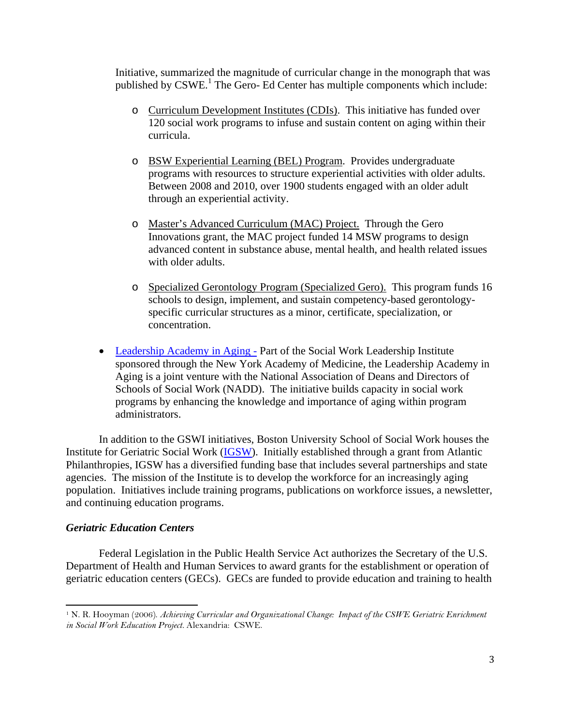Initiative, summarized the magnitude of curricular change in the monograph that was published by CSWE.<sup>1</sup> The Gero- Ed Center has multiple components which include:

- o Curriculum Development Institutes (CDIs). This initiative has funded over 120 social work programs to infuse and sustain content on aging within their curricula.
- o BSW Experiential Learning (BEL) Program. Provides undergraduate programs with resources to structure experiential activities with older adults. Between 2008 and 2010, over 1900 students engaged with an older adult through an experiential activity.
- o Master's Advanced Curriculum (MAC) Project. Through the Gero Innovations grant, the MAC project funded 14 MSW programs to design advanced content in substance abuse, mental health, and health related issues with older adults.
- o Specialized Gerontology Program (Specialized Gero). This program funds 16 schools to design, implement, and sustain competency-based gerontologyspecific curricular structures as a minor, certificate, specialization, or concentration.
- Leadership Academy in Aging Part of the Social Work Leadership Institute sponsored through the New York Academy of Medicine, the Leadership Academy in Aging is a joint venture with the National Association of Deans and Directors of Schools of Social Work (NADD). The initiative builds capacity in social work programs by enhancing the knowledge and importance of aging within program administrators.

In addition to the GSWI initiatives, Boston University School of Social Work houses the Institute for Geriatric Social Work (IGSW). Initially established through a grant from Atlantic Philanthropies, IGSW has a diversified funding base that includes several partnerships and state agencies. The mission of the Institute is to develop the workforce for an increasingly aging population. Initiatives include training programs, publications on workforce issues, a newsletter, and continuing education programs.

#### *Geriatric Education Centers*

 

Federal Legislation in the Public Health Service Act authorizes the Secretary of the U.S. Department of Health and Human Services to award grants for the establishment or operation of geriatric education centers (GECs). GECs are funded to provide education and training to health

<sup>1</sup> N. R. Hooyman (2006). *Achieving Curricular and Organizational Change: Impact of the CSWE Geriatric Enrichment in Social Work Education Project.* Alexandria: CSWE.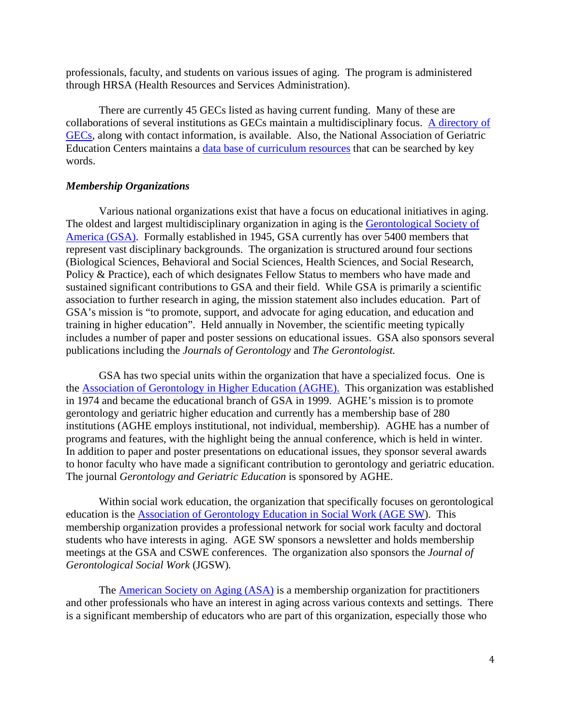professionals, faculty, and students on various issues of aging. The program is administered through HRSA (Health Resources and Services Administration).

There are currently 45 GECs listed as having current funding. Many of these are collaborations of several institutions as GECs maintain a multidisciplinary focus. A directory of GECs, along with contact information, is available. Also, the National Association of Geriatric Education Centers maintains a data base of curriculum resources that can be searched by key words.

### *Membership Organizations*

Various national organizations exist that have a focus on educational initiatives in aging. The oldest and largest multidisciplinary organization in aging is the Gerontological Society of America (GSA). Formally established in 1945, GSA currently has over 5400 members that represent vast disciplinary backgrounds. The organization is structured around four sections (Biological Sciences, Behavioral and Social Sciences, Health Sciences, and Social Research, Policy & Practice), each of which designates Fellow Status to members who have made and sustained significant contributions to GSA and their field. While GSA is primarily a scientific association to further research in aging, the mission statement also includes education. Part of GSA's mission is "to promote, support, and advocate for aging education, and education and training in higher education". Held annually in November, the scientific meeting typically includes a number of paper and poster sessions on educational issues. GSA also sponsors several publications including the *Journals of Gerontology* and *The Gerontologist.* 

GSA has two special units within the organization that have a specialized focus. One is the Association of Gerontology in Higher Education (AGHE). This organization was established in 1974 and became the educational branch of GSA in 1999. AGHE's mission is to promote gerontology and geriatric higher education and currently has a membership base of 280 institutions (AGHE employs institutional, not individual, membership). AGHE has a number of programs and features, with the highlight being the annual conference, which is held in winter. In addition to paper and poster presentations on educational issues, they sponsor several awards to honor faculty who have made a significant contribution to gerontology and geriatric education. The journal *Gerontology and Geriatric Education* is sponsored by AGHE.

Within social work education, the organization that specifically focuses on gerontological education is the Association of Gerontology Education in Social Work (AGE SW). This membership organization provides a professional network for social work faculty and doctoral students who have interests in aging. AGE SW sponsors a newsletter and holds membership meetings at the GSA and CSWE conferences. The organization also sponsors the *Journal of Gerontological Social Work* (JGSW)*.* 

The **American Society on Aging (ASA)** is a membership organization for practitioners and other professionals who have an interest in aging across various contexts and settings. There is a significant membership of educators who are part of this organization, especially those who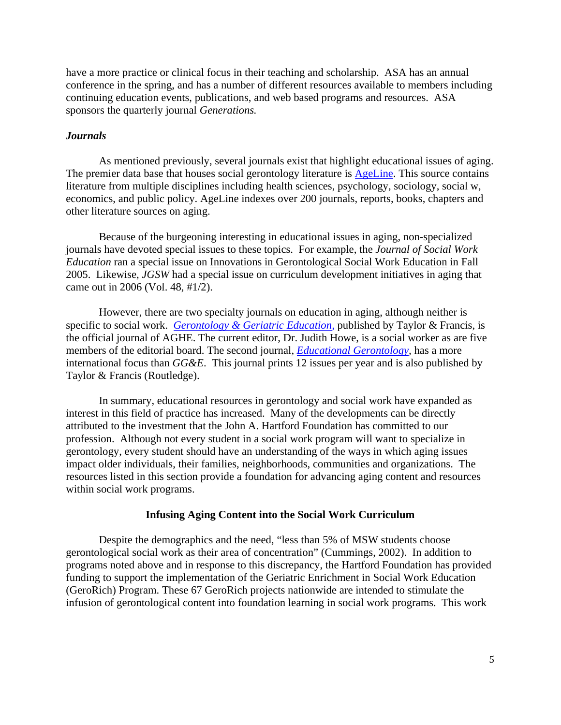have a more practice or clinical focus in their teaching and scholarship. ASA has an annual conference in the spring, and has a number of different resources available to members including continuing education events, publications, and web based programs and resources. ASA sponsors the quarterly journal *Generations.*

#### *Journals*

As mentioned previously, several journals exist that highlight educational issues of aging. The premier data base that houses social gerontology literature is **AgeLine**. This source contains literature from multiple disciplines including health sciences, psychology, sociology, social w, economics, and public policy. AgeLine indexes over 200 journals, reports, books, chapters and other literature sources on aging.

Because of the burgeoning interesting in educational issues in aging, non-specialized journals have devoted special issues to these topics. For example, the *Journal of Social Work Education* ran a special issue on Innovations in Gerontological Social Work Education in Fall 2005. Likewise, *JGSW* had a special issue on curriculum development initiatives in aging that came out in 2006 (Vol. 48, #1/2).

However, there are two specialty journals on education in aging, although neither is specific to social work. *Gerontology & Geriatric Education,* published by Taylor & Francis, is the official journal of AGHE. The current editor, Dr. Judith Howe, is a social worker as are five members of the editorial board. The second journal, *Educational Gerontology,* has a more international focus than *GG&E*. This journal prints 12 issues per year and is also published by Taylor & Francis (Routledge).

In summary, educational resources in gerontology and social work have expanded as interest in this field of practice has increased. Many of the developments can be directly attributed to the investment that the John A. Hartford Foundation has committed to our profession. Although not every student in a social work program will want to specialize in gerontology, every student should have an understanding of the ways in which aging issues impact older individuals, their families, neighborhoods, communities and organizations. The resources listed in this section provide a foundation for advancing aging content and resources within social work programs.

#### **Infusing Aging Content into the Social Work Curriculum**

Despite the demographics and the need, "less than 5% of MSW students choose gerontological social work as their area of concentration" (Cummings, 2002). In addition to programs noted above and in response to this discrepancy, the Hartford Foundation has provided funding to support the implementation of the Geriatric Enrichment in Social Work Education (GeroRich) Program. These 67 GeroRich projects nationwide are intended to stimulate the infusion of gerontological content into foundation learning in social work programs. This work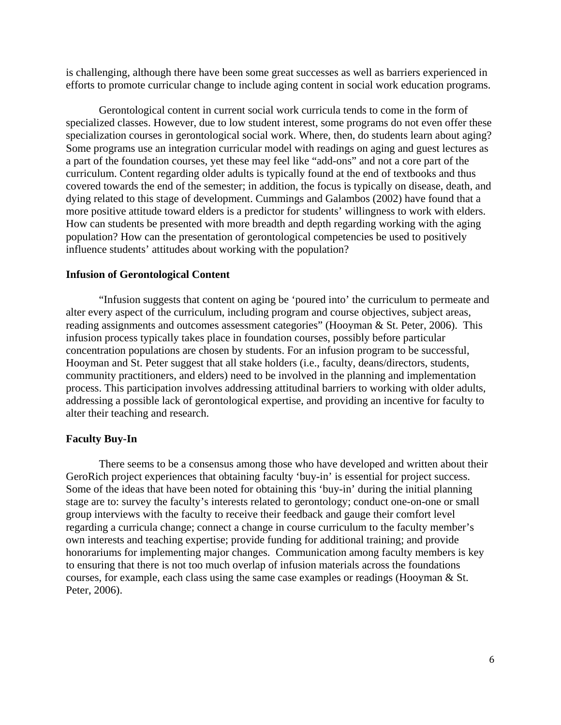is challenging, although there have been some great successes as well as barriers experienced in efforts to promote curricular change to include aging content in social work education programs.

Gerontological content in current social work curricula tends to come in the form of specialized classes. However, due to low student interest, some programs do not even offer these specialization courses in gerontological social work. Where, then, do students learn about aging? Some programs use an integration curricular model with readings on aging and guest lectures as a part of the foundation courses, yet these may feel like "add-ons" and not a core part of the curriculum. Content regarding older adults is typically found at the end of textbooks and thus covered towards the end of the semester; in addition, the focus is typically on disease, death, and dying related to this stage of development. Cummings and Galambos (2002) have found that a more positive attitude toward elders is a predictor for students' willingness to work with elders. How can students be presented with more breadth and depth regarding working with the aging population? How can the presentation of gerontological competencies be used to positively influence students' attitudes about working with the population?

#### **Infusion of Gerontological Content**

"Infusion suggests that content on aging be 'poured into' the curriculum to permeate and alter every aspect of the curriculum, including program and course objectives, subject areas, reading assignments and outcomes assessment categories" (Hooyman & St. Peter, 2006). This infusion process typically takes place in foundation courses, possibly before particular concentration populations are chosen by students. For an infusion program to be successful, Hooyman and St. Peter suggest that all stake holders (i.e., faculty, deans/directors, students, community practitioners, and elders) need to be involved in the planning and implementation process. This participation involves addressing attitudinal barriers to working with older adults, addressing a possible lack of gerontological expertise, and providing an incentive for faculty to alter their teaching and research.

## **Faculty Buy-In**

There seems to be a consensus among those who have developed and written about their GeroRich project experiences that obtaining faculty 'buy-in' is essential for project success. Some of the ideas that have been noted for obtaining this 'buy-in' during the initial planning stage are to: survey the faculty's interests related to gerontology; conduct one-on-one or small group interviews with the faculty to receive their feedback and gauge their comfort level regarding a curricula change; connect a change in course curriculum to the faculty member's own interests and teaching expertise; provide funding for additional training; and provide honorariums for implementing major changes. Communication among faculty members is key to ensuring that there is not too much overlap of infusion materials across the foundations courses, for example, each class using the same case examples or readings (Hooyman & St. Peter, 2006).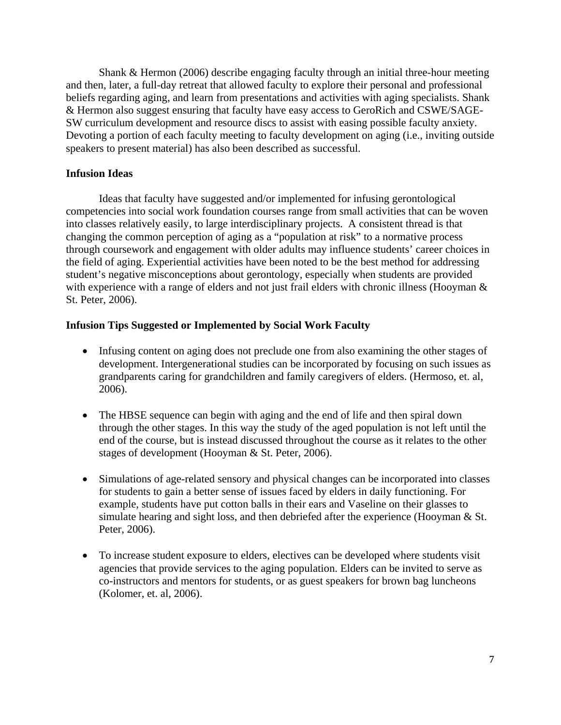Shank & Hermon (2006) describe engaging faculty through an initial three-hour meeting and then, later, a full-day retreat that allowed faculty to explore their personal and professional beliefs regarding aging, and learn from presentations and activities with aging specialists. Shank & Hermon also suggest ensuring that faculty have easy access to GeroRich and CSWE/SAGE-SW curriculum development and resource discs to assist with easing possible faculty anxiety. Devoting a portion of each faculty meeting to faculty development on aging (i.e., inviting outside speakers to present material) has also been described as successful.

## **Infusion Ideas**

Ideas that faculty have suggested and/or implemented for infusing gerontological competencies into social work foundation courses range from small activities that can be woven into classes relatively easily, to large interdisciplinary projects. A consistent thread is that changing the common perception of aging as a "population at risk" to a normative process through coursework and engagement with older adults may influence students' career choices in the field of aging. Experiential activities have been noted to be the best method for addressing student's negative misconceptions about gerontology, especially when students are provided with experience with a range of elders and not just frail elders with chronic illness (Hooyman  $\&$ St. Peter, 2006).

## **Infusion Tips Suggested or Implemented by Social Work Faculty**

- Infusing content on aging does not preclude one from also examining the other stages of development. Intergenerational studies can be incorporated by focusing on such issues as grandparents caring for grandchildren and family caregivers of elders. (Hermoso, et. al, 2006).
- The HBSE sequence can begin with aging and the end of life and then spiral down through the other stages. In this way the study of the aged population is not left until the end of the course, but is instead discussed throughout the course as it relates to the other stages of development (Hooyman & St. Peter, 2006).
- Simulations of age-related sensory and physical changes can be incorporated into classes for students to gain a better sense of issues faced by elders in daily functioning. For example, students have put cotton balls in their ears and Vaseline on their glasses to simulate hearing and sight loss, and then debriefed after the experience (Hooyman & St. Peter, 2006).
- To increase student exposure to elders, electives can be developed where students visit agencies that provide services to the aging population. Elders can be invited to serve as co-instructors and mentors for students, or as guest speakers for brown bag luncheons (Kolomer, et. al, 2006).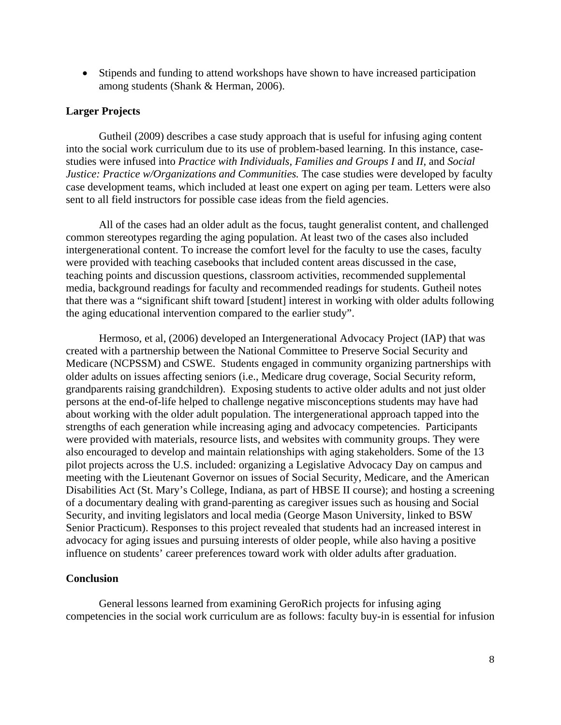• Stipends and funding to attend workshops have shown to have increased participation among students (Shank & Herman, 2006).

### **Larger Projects**

Gutheil (2009) describes a case study approach that is useful for infusing aging content into the social work curriculum due to its use of problem-based learning. In this instance, casestudies were infused into *Practice with Individuals, Families and Groups I* and *II*, and *Social Justice: Practice w/Organizations and Communities.* The case studies were developed by faculty case development teams, which included at least one expert on aging per team. Letters were also sent to all field instructors for possible case ideas from the field agencies.

All of the cases had an older adult as the focus, taught generalist content, and challenged common stereotypes regarding the aging population. At least two of the cases also included intergenerational content. To increase the comfort level for the faculty to use the cases, faculty were provided with teaching casebooks that included content areas discussed in the case, teaching points and discussion questions, classroom activities, recommended supplemental media, background readings for faculty and recommended readings for students. Gutheil notes that there was a "significant shift toward [student] interest in working with older adults following the aging educational intervention compared to the earlier study".

Hermoso, et al, (2006) developed an Intergenerational Advocacy Project (IAP) that was created with a partnership between the National Committee to Preserve Social Security and Medicare (NCPSSM) and CSWE. Students engaged in community organizing partnerships with older adults on issues affecting seniors (i.e., Medicare drug coverage, Social Security reform, grandparents raising grandchildren). Exposing students to active older adults and not just older persons at the end-of-life helped to challenge negative misconceptions students may have had about working with the older adult population. The intergenerational approach tapped into the strengths of each generation while increasing aging and advocacy competencies. Participants were provided with materials, resource lists, and websites with community groups. They were also encouraged to develop and maintain relationships with aging stakeholders. Some of the 13 pilot projects across the U.S. included: organizing a Legislative Advocacy Day on campus and meeting with the Lieutenant Governor on issues of Social Security, Medicare, and the American Disabilities Act (St. Mary's College, Indiana, as part of HBSE II course); and hosting a screening of a documentary dealing with grand-parenting as caregiver issues such as housing and Social Security, and inviting legislators and local media (George Mason University, linked to BSW Senior Practicum). Responses to this project revealed that students had an increased interest in advocacy for aging issues and pursuing interests of older people, while also having a positive influence on students' career preferences toward work with older adults after graduation.

#### **Conclusion**

General lessons learned from examining GeroRich projects for infusing aging competencies in the social work curriculum are as follows: faculty buy-in is essential for infusion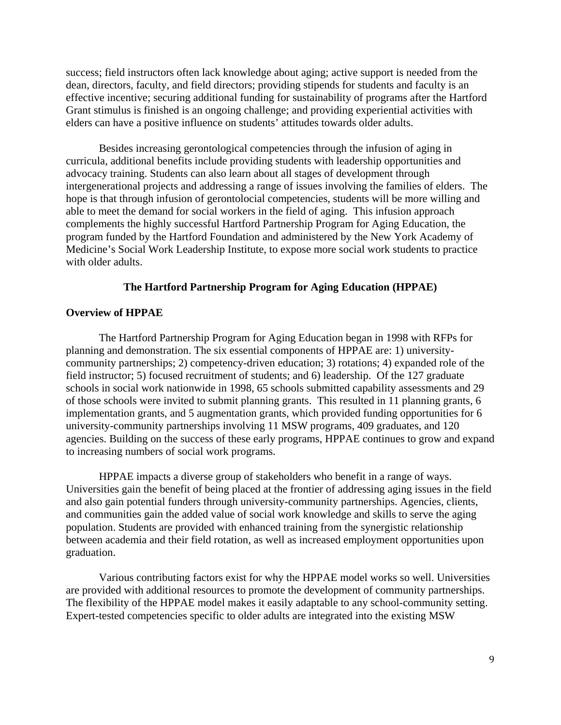success; field instructors often lack knowledge about aging; active support is needed from the dean, directors, faculty, and field directors; providing stipends for students and faculty is an effective incentive; securing additional funding for sustainability of programs after the Hartford Grant stimulus is finished is an ongoing challenge; and providing experiential activities with elders can have a positive influence on students' attitudes towards older adults.

Besides increasing gerontological competencies through the infusion of aging in curricula, additional benefits include providing students with leadership opportunities and advocacy training. Students can also learn about all stages of development through intergenerational projects and addressing a range of issues involving the families of elders. The hope is that through infusion of gerontolocial competencies, students will be more willing and able to meet the demand for social workers in the field of aging. This infusion approach complements the highly successful Hartford Partnership Program for Aging Education, the program funded by the Hartford Foundation and administered by the New York Academy of Medicine's Social Work Leadership Institute, to expose more social work students to practice with older adults.

#### **The Hartford Partnership Program for Aging Education (HPPAE)**

## **Overview of HPPAE**

The Hartford Partnership Program for Aging Education began in 1998 with RFPs for planning and demonstration. The six essential components of HPPAE are: 1) universitycommunity partnerships; 2) competency-driven education; 3) rotations; 4) expanded role of the field instructor; 5) focused recruitment of students; and 6) leadership. Of the 127 graduate schools in social work nationwide in 1998, 65 schools submitted capability assessments and 29 of those schools were invited to submit planning grants. This resulted in 11 planning grants, 6 implementation grants, and 5 augmentation grants, which provided funding opportunities for 6 university-community partnerships involving 11 MSW programs, 409 graduates, and 120 agencies. Building on the success of these early programs, HPPAE continues to grow and expand to increasing numbers of social work programs.

HPPAE impacts a diverse group of stakeholders who benefit in a range of ways. Universities gain the benefit of being placed at the frontier of addressing aging issues in the field and also gain potential funders through university-community partnerships. Agencies, clients, and communities gain the added value of social work knowledge and skills to serve the aging population. Students are provided with enhanced training from the synergistic relationship between academia and their field rotation, as well as increased employment opportunities upon graduation.

Various contributing factors exist for why the HPPAE model works so well. Universities are provided with additional resources to promote the development of community partnerships. The flexibility of the HPPAE model makes it easily adaptable to any school-community setting. Expert-tested competencies specific to older adults are integrated into the existing MSW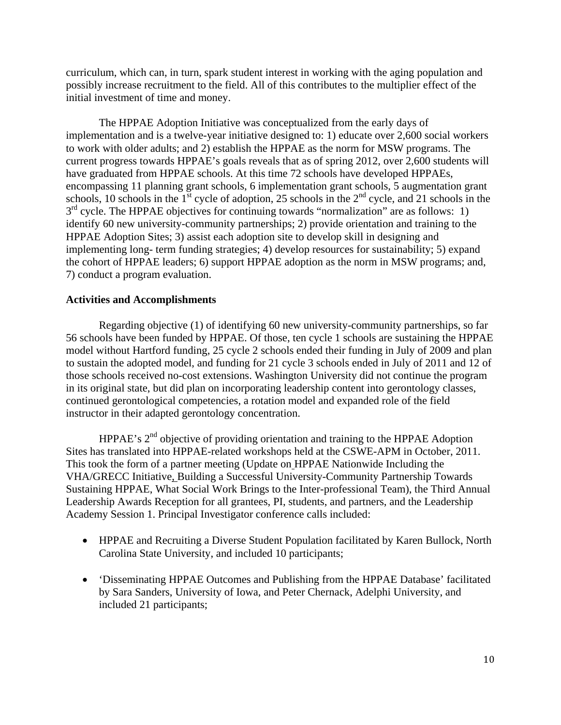curriculum, which can, in turn, spark student interest in working with the aging population and possibly increase recruitment to the field. All of this contributes to the multiplier effect of the initial investment of time and money.

The HPPAE Adoption Initiative was conceptualized from the early days of implementation and is a twelve-year initiative designed to: 1) educate over 2,600 social workers to work with older adults; and 2) establish the HPPAE as the norm for MSW programs. The current progress towards HPPAE's goals reveals that as of spring 2012, over 2,600 students will have graduated from HPPAE schools. At this time 72 schools have developed HPPAEs, encompassing 11 planning grant schools, 6 implementation grant schools, 5 augmentation grant schools, 10 schools in the  $1<sup>st</sup>$  cycle of adoption, 25 schools in the  $2<sup>nd</sup>$  cycle, and 21 schools in the  $3<sup>rd</sup>$  cycle. The HPPAE objectives for continuing towards "normalization" are as follows: 1) identify 60 new university-community partnerships; 2) provide orientation and training to the HPPAE Adoption Sites; 3) assist each adoption site to develop skill in designing and implementing long- term funding strategies; 4) develop resources for sustainability; 5) expand the cohort of HPPAE leaders; 6) support HPPAE adoption as the norm in MSW programs; and, 7) conduct a program evaluation.

# **Activities and Accomplishments**

Regarding objective (1) of identifying 60 new university-community partnerships, so far 56 schools have been funded by HPPAE. Of those, ten cycle 1 schools are sustaining the HPPAE model without Hartford funding, 25 cycle 2 schools ended their funding in July of 2009 and plan to sustain the adopted model, and funding for 21 cycle 3 schools ended in July of 2011 and 12 of those schools received no-cost extensions. Washington University did not continue the program in its original state, but did plan on incorporating leadership content into gerontology classes, continued gerontological competencies, a rotation model and expanded role of the field instructor in their adapted gerontology concentration.

HPPAE's  $2<sup>nd</sup>$  objective of providing orientation and training to the HPPAE Adoption Sites has translated into HPPAE-related workshops held at the CSWE-APM in October, 2011. This took the form of a partner meeting (Update on HPPAE Nationwide Including the VHA/GRECC Initiative, Building a Successful University-Community Partnership Towards Sustaining HPPAE, What Social Work Brings to the Inter-professional Team), the Third Annual Leadership Awards Reception for all grantees, PI, students, and partners, and the Leadership Academy Session 1. Principal Investigator conference calls included:

- HPPAE and Recruiting a Diverse Student Population facilitated by Karen Bullock, North Carolina State University, and included 10 participants;
- 'Disseminating HPPAE Outcomes and Publishing from the HPPAE Database' facilitated by Sara Sanders, University of Iowa, and Peter Chernack, Adelphi University, and included 21 participants;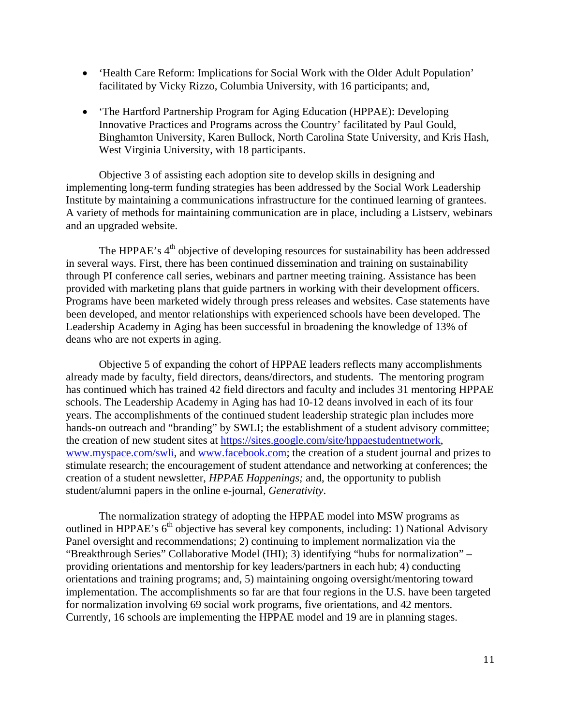- 'Health Care Reform: Implications for Social Work with the Older Adult Population' facilitated by Vicky Rizzo, Columbia University, with 16 participants; and,
- 'The Hartford Partnership Program for Aging Education (HPPAE): Developing Innovative Practices and Programs across the Country' facilitated by Paul Gould, Binghamton University, Karen Bullock, North Carolina State University, and Kris Hash, West Virginia University, with 18 participants.

Objective 3 of assisting each adoption site to develop skills in designing and implementing long-term funding strategies has been addressed by the Social Work Leadership Institute by maintaining a communications infrastructure for the continued learning of grantees. A variety of methods for maintaining communication are in place, including a Listserv, webinars and an upgraded website.

The HPPAE's  $4<sup>th</sup>$  objective of developing resources for sustainability has been addressed in several ways. First, there has been continued dissemination and training on sustainability through PI conference call series, webinars and partner meeting training. Assistance has been provided with marketing plans that guide partners in working with their development officers. Programs have been marketed widely through press releases and websites. Case statements have been developed, and mentor relationships with experienced schools have been developed. The Leadership Academy in Aging has been successful in broadening the knowledge of 13% of deans who are not experts in aging.

Objective 5 of expanding the cohort of HPPAE leaders reflects many accomplishments already made by faculty, field directors, deans/directors, and students. The mentoring program has continued which has trained 42 field directors and faculty and includes 31 mentoring HPPAE schools. The Leadership Academy in Aging has had 10-12 deans involved in each of its four years. The accomplishments of the continued student leadership strategic plan includes more hands-on outreach and "branding" by SWLI; the establishment of a student advisory committee; the creation of new student sites at https://sites.google.com/site/hppaestudentnetwork, www.myspace.com/swli, and www.facebook.com; the creation of a student journal and prizes to stimulate research; the encouragement of student attendance and networking at conferences; the creation of a student newsletter, *HPPAE Happenings;* and, the opportunity to publish student/alumni papers in the online e-journal, *Generativity*.

The normalization strategy of adopting the HPPAE model into MSW programs as outlined in HPPAE's 6<sup>th</sup> objective has several key components, including: 1) National Advisory Panel oversight and recommendations; 2) continuing to implement normalization via the "Breakthrough Series" Collaborative Model (IHI); 3) identifying "hubs for normalization" – providing orientations and mentorship for key leaders/partners in each hub; 4) conducting orientations and training programs; and, 5) maintaining ongoing oversight/mentoring toward implementation. The accomplishments so far are that four regions in the U.S. have been targeted for normalization involving 69 social work programs, five orientations, and 42 mentors. Currently, 16 schools are implementing the HPPAE model and 19 are in planning stages.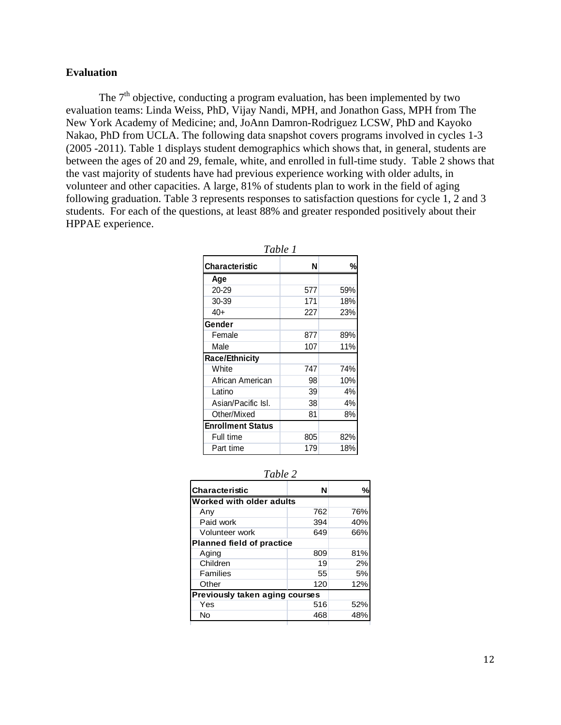#### **Evaluation**

The  $7<sup>th</sup>$  objective, conducting a program evaluation, has been implemented by two evaluation teams: Linda Weiss, PhD, Vijay Nandi, MPH, and Jonathon Gass, MPH from The New York Academy of Medicine; and, JoAnn Damron-Rodriguez LCSW, PhD and Kayoko Nakao, PhD from UCLA. The following data snapshot covers programs involved in cycles 1-3 (2005 -2011). Table 1 displays student demographics which shows that, in general, students are between the ages of 20 and 29, female, white, and enrolled in full-time study. Table 2 shows that the vast majority of students have had previous experience working with older adults, in volunteer and other capacities. A large, 81% of students plan to work in the field of aging following graduation. Table 3 represents responses to satisfaction questions for cycle 1, 2 and 3 students. For each of the questions, at least 88% and greater responded positively about their HPPAE experience.

| Table 1                  |     |     |  |  |
|--------------------------|-----|-----|--|--|
| Characteristic           | N   | %   |  |  |
| Age                      |     |     |  |  |
| 20-29                    | 577 | 59% |  |  |
| 30-39                    | 171 | 18% |  |  |
| 40+                      | 227 | 23% |  |  |
| Gender                   |     |     |  |  |
| Female                   | 877 | 89% |  |  |
| Male                     | 107 | 11% |  |  |
| <b>Race/Ethnicity</b>    |     |     |  |  |
| White                    | 747 | 74% |  |  |
| African American         | 98  | 10% |  |  |
| Latino                   | 39  | 4%  |  |  |
| Asian/Pacific Isl.       | 38  | 4%  |  |  |
| Other/Mixed              | 81  | 8%  |  |  |
| <b>Enrollment Status</b> |     |     |  |  |
| Full time                | 805 | 82% |  |  |
| Part time                | 179 | 18% |  |  |

| anı |  |
|-----|--|
|     |  |

| N                                |     |  |
|----------------------------------|-----|--|
| Worked with older adults         |     |  |
| 762                              | 76% |  |
| 394                              | 40% |  |
| 649                              | 66% |  |
| <b>Planned field of practice</b> |     |  |
| 809                              | 81% |  |
| 19                               | 2%  |  |
| 55                               | 5%  |  |
| 120                              | 12% |  |
| Previously taken aging courses   |     |  |
| 516                              | 52% |  |
| 468                              | 48% |  |
|                                  |     |  |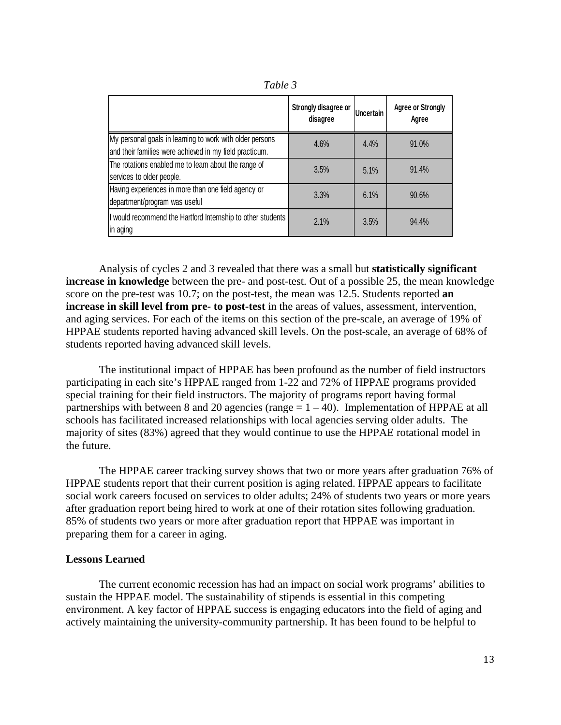| I able |  |
|--------|--|
|        |  |

|                                                                                                                     | Strongly disagree or<br>disagree | Uncertain | <b>Agree or Strongly</b><br>Agree |
|---------------------------------------------------------------------------------------------------------------------|----------------------------------|-----------|-----------------------------------|
| My personal goals in learning to work with older persons<br>and their families were achieved in my field practicum. | 4.6%                             | 4.4%      | 91.0%                             |
| The rotations enabled me to learn about the range of<br>services to older people.                                   | 3.5%                             | 5.1%      | 91.4%                             |
| Having experiences in more than one field agency or<br>department/program was useful                                | 3.3%                             | 6.1%      | 90.6%                             |
| I would recommend the Hartford Internship to other students<br>in aging                                             | 2.1%                             | 3.5%      | 94.4%                             |

Analysis of cycles 2 and 3 revealed that there was a small but **statistically significant increase in knowledge** between the pre- and post-test. Out of a possible 25, the mean knowledge score on the pre-test was 10.7; on the post-test, the mean was 12.5. Students reported **an increase in skill level from pre- to post-test** in the areas of values, assessment, intervention, and aging services. For each of the items on this section of the pre-scale, an average of 19% of HPPAE students reported having advanced skill levels. On the post-scale, an average of 68% of students reported having advanced skill levels.

The institutional impact of HPPAE has been profound as the number of field instructors participating in each site's HPPAE ranged from 1-22 and 72% of HPPAE programs provided special training for their field instructors. The majority of programs report having formal partnerships with between 8 and 20 agencies (range  $= 1 - 40$ ). Implementation of HPPAE at all schools has facilitated increased relationships with local agencies serving older adults. The majority of sites (83%) agreed that they would continue to use the HPPAE rotational model in the future.

The HPPAE career tracking survey shows that two or more years after graduation 76% of HPPAE students report that their current position is aging related. HPPAE appears to facilitate social work careers focused on services to older adults; 24% of students two years or more years after graduation report being hired to work at one of their rotation sites following graduation. 85% of students two years or more after graduation report that HPPAE was important in preparing them for a career in aging.

#### **Lessons Learned**

The current economic recession has had an impact on social work programs' abilities to sustain the HPPAE model. The sustainability of stipends is essential in this competing environment. A key factor of HPPAE success is engaging educators into the field of aging and actively maintaining the university-community partnership. It has been found to be helpful to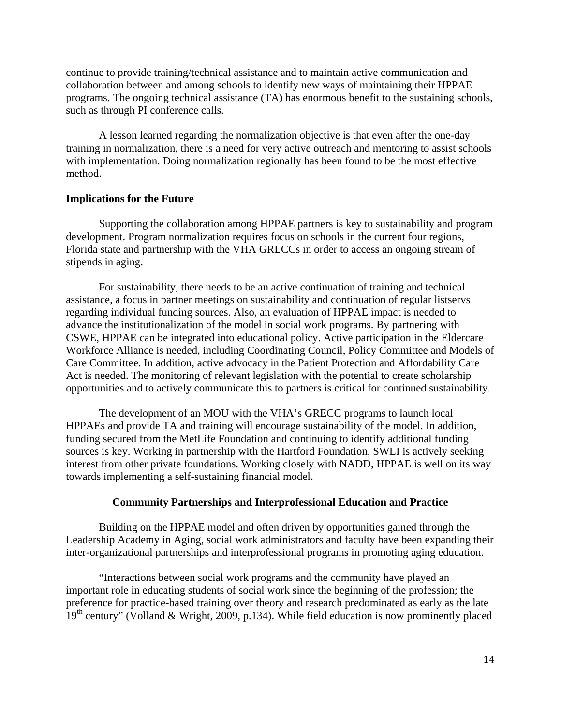continue to provide training/technical assistance and to maintain active communication and collaboration between and among schools to identify new ways of maintaining their HPPAE programs. The ongoing technical assistance (TA) has enormous benefit to the sustaining schools, such as through PI conference calls.

A lesson learned regarding the normalization objective is that even after the one-day training in normalization, there is a need for very active outreach and mentoring to assist schools with implementation. Doing normalization regionally has been found to be the most effective method.

#### **Implications for the Future**

Supporting the collaboration among HPPAE partners is key to sustainability and program development. Program normalization requires focus on schools in the current four regions, Florida state and partnership with the VHA GRECCs in order to access an ongoing stream of stipends in aging.

For sustainability, there needs to be an active continuation of training and technical assistance, a focus in partner meetings on sustainability and continuation of regular listservs regarding individual funding sources. Also, an evaluation of HPPAE impact is needed to advance the institutionalization of the model in social work programs. By partnering with CSWE, HPPAE can be integrated into educational policy. Active participation in the Eldercare Workforce Alliance is needed, including Coordinating Council, Policy Committee and Models of Care Committee. In addition, active advocacy in the Patient Protection and Affordability Care Act is needed. The monitoring of relevant legislation with the potential to create scholarship opportunities and to actively communicate this to partners is critical for continued sustainability.

The development of an MOU with the VHA's GRECC programs to launch local HPPAEs and provide TA and training will encourage sustainability of the model. In addition, funding secured from the MetLife Foundation and continuing to identify additional funding sources is key. Working in partnership with the Hartford Foundation, SWLI is actively seeking interest from other private foundations. Working closely with NADD, HPPAE is well on its way towards implementing a self-sustaining financial model.

#### **Community Partnerships and Interprofessional Education and Practice**

Building on the HPPAE model and often driven by opportunities gained through the Leadership Academy in Aging, social work administrators and faculty have been expanding their inter-organizational partnerships and interprofessional programs in promoting aging education.

"Interactions between social work programs and the community have played an important role in educating students of social work since the beginning of the profession; the preference for practice-based training over theory and research predominated as early as the late  $19<sup>th</sup>$  century" (Volland & Wright, 2009, p.134). While field education is now prominently placed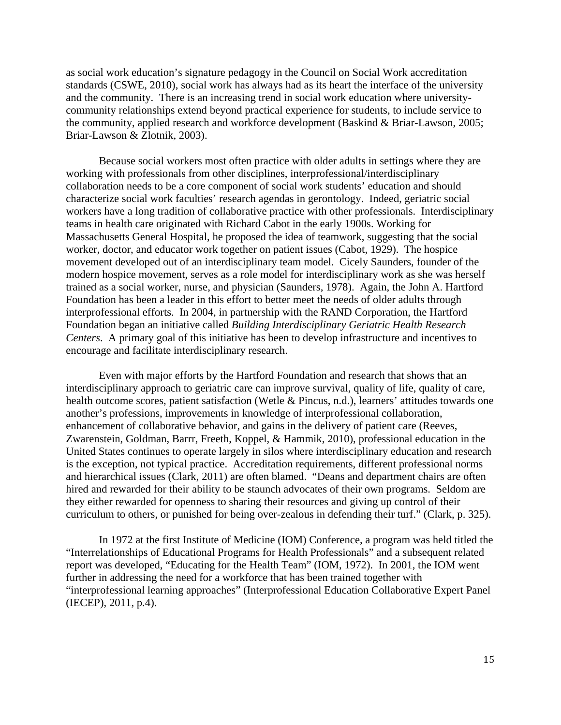as social work education's signature pedagogy in the Council on Social Work accreditation standards (CSWE, 2010), social work has always had as its heart the interface of the university and the community. There is an increasing trend in social work education where universitycommunity relationships extend beyond practical experience for students, to include service to the community, applied research and workforce development (Baskind & Briar-Lawson, 2005; Briar-Lawson & Zlotnik, 2003).

Because social workers most often practice with older adults in settings where they are working with professionals from other disciplines, interprofessional/interdisciplinary collaboration needs to be a core component of social work students' education and should characterize social work faculties' research agendas in gerontology. Indeed, geriatric social workers have a long tradition of collaborative practice with other professionals. Interdisciplinary teams in health care originated with Richard Cabot in the early 1900s. Working for Massachusetts General Hospital, he proposed the idea of teamwork, suggesting that the social worker, doctor, and educator work together on patient issues (Cabot, 1929). The hospice movement developed out of an interdisciplinary team model. Cicely Saunders, founder of the modern hospice movement, serves as a role model for interdisciplinary work as she was herself trained as a social worker, nurse, and physician (Saunders, 1978). Again, the John A. Hartford Foundation has been a leader in this effort to better meet the needs of older adults through interprofessional efforts. In 2004, in partnership with the RAND Corporation, the Hartford Foundation began an initiative called *Building Interdisciplinary Geriatric Health Research Centers*. A primary goal of this initiative has been to develop infrastructure and incentives to encourage and facilitate interdisciplinary research.

Even with major efforts by the Hartford Foundation and research that shows that an interdisciplinary approach to geriatric care can improve survival, quality of life, quality of care, health outcome scores, patient satisfaction (Wetle & Pincus, n.d.), learners' attitudes towards one another's professions, improvements in knowledge of interprofessional collaboration, enhancement of collaborative behavior, and gains in the delivery of patient care (Reeves, Zwarenstein, Goldman, Barrr, Freeth, Koppel, & Hammik, 2010), professional education in the United States continues to operate largely in silos where interdisciplinary education and research is the exception, not typical practice. Accreditation requirements, different professional norms and hierarchical issues (Clark, 2011) are often blamed. "Deans and department chairs are often hired and rewarded for their ability to be staunch advocates of their own programs. Seldom are they either rewarded for openness to sharing their resources and giving up control of their curriculum to others, or punished for being over-zealous in defending their turf." (Clark, p. 325).

In 1972 at the first Institute of Medicine (IOM) Conference, a program was held titled the "Interrelationships of Educational Programs for Health Professionals" and a subsequent related report was developed, "Educating for the Health Team" (IOM, 1972). In 2001, the IOM went further in addressing the need for a workforce that has been trained together with "interprofessional learning approaches" (Interprofessional Education Collaborative Expert Panel (IECEP), 2011, p.4).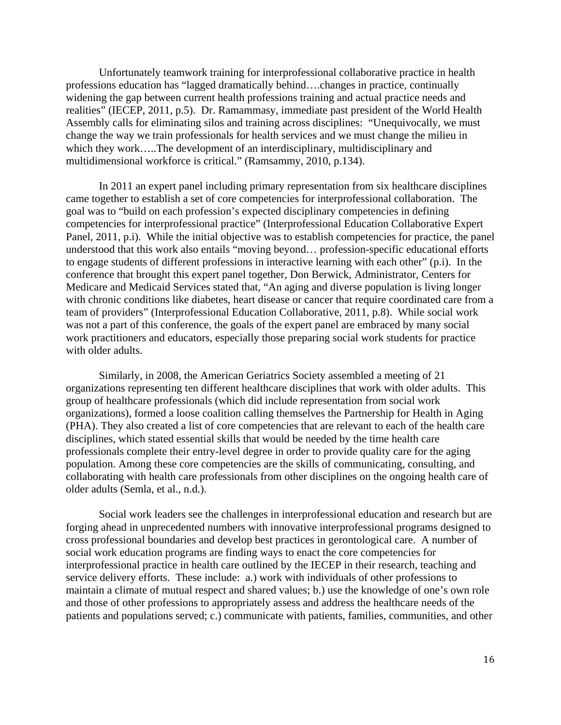Unfortunately teamwork training for interprofessional collaborative practice in health professions education has "lagged dramatically behind….changes in practice, continually widening the gap between current health professions training and actual practice needs and realities" (IECEP, 2011, p.5). Dr. Ramammasy, immediate past president of the World Health Assembly calls for eliminating silos and training across disciplines: "Unequivocally, we must change the way we train professionals for health services and we must change the milieu in which they work…..The development of an interdisciplinary, multidisciplinary and multidimensional workforce is critical." (Ramsammy, 2010, p.134).

In 2011 an expert panel including primary representation from six healthcare disciplines came together to establish a set of core competencies for interprofessional collaboration. The goal was to "build on each profession's expected disciplinary competencies in defining competencies for interprofessional practice" (Interprofessional Education Collaborative Expert Panel, 2011, p.i). While the initial objective was to establish competencies for practice, the panel understood that this work also entails "moving beyond… profession-specific educational efforts to engage students of different professions in interactive learning with each other" (p.i). In the conference that brought this expert panel together, Don Berwick, Administrator, Centers for Medicare and Medicaid Services stated that, "An aging and diverse population is living longer with chronic conditions like diabetes, heart disease or cancer that require coordinated care from a team of providers" (Interprofessional Education Collaborative, 2011, p.8). While social work was not a part of this conference, the goals of the expert panel are embraced by many social work practitioners and educators, especially those preparing social work students for practice with older adults.

Similarly, in 2008, the American Geriatrics Society assembled a meeting of 21 organizations representing ten different healthcare disciplines that work with older adults. This group of healthcare professionals (which did include representation from social work organizations), formed a loose coalition calling themselves the Partnership for Health in Aging (PHA). They also created a list of core competencies that are relevant to each of the health care disciplines, which stated essential skills that would be needed by the time health care professionals complete their entry-level degree in order to provide quality care for the aging population. Among these core competencies are the skills of communicating, consulting, and collaborating with health care professionals from other disciplines on the ongoing health care of older adults (Semla, et al., n.d.).

Social work leaders see the challenges in interprofessional education and research but are forging ahead in unprecedented numbers with innovative interprofessional programs designed to cross professional boundaries and develop best practices in gerontological care. A number of social work education programs are finding ways to enact the core competencies for interprofessional practice in health care outlined by the IECEP in their research, teaching and service delivery efforts. These include: a.) work with individuals of other professions to maintain a climate of mutual respect and shared values; b.) use the knowledge of one's own role and those of other professions to appropriately assess and address the healthcare needs of the patients and populations served; c.) communicate with patients, families, communities, and other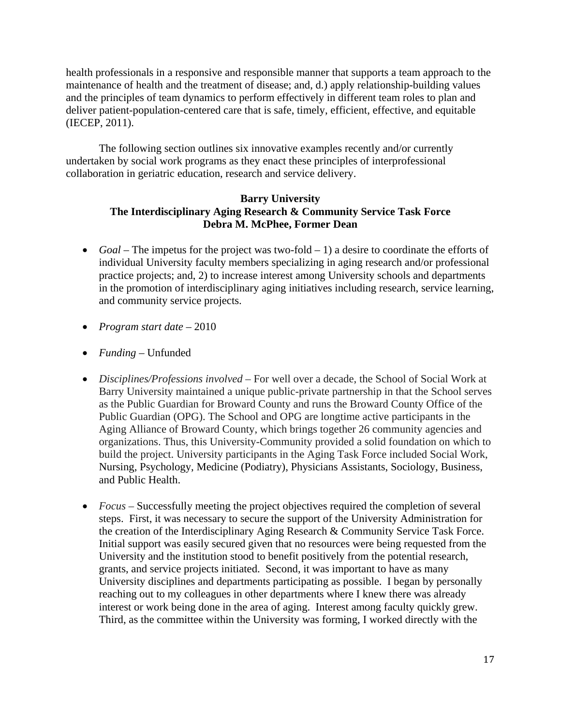health professionals in a responsive and responsible manner that supports a team approach to the maintenance of health and the treatment of disease; and, d.) apply relationship-building values and the principles of team dynamics to perform effectively in different team roles to plan and deliver patient-population-centered care that is safe, timely, efficient, effective, and equitable (IECEP, 2011).

The following section outlines six innovative examples recently and/or currently undertaken by social work programs as they enact these principles of interprofessional collaboration in geriatric education, research and service delivery.

# **Barry University The Interdisciplinary Aging Research & Community Service Task Force Debra M. McPhee, Former Dean**

- *Goal* The impetus for the project was two-fold 1) a desire to coordinate the efforts of individual University faculty members specializing in aging research and/or professional practice projects; and, 2) to increase interest among University schools and departments in the promotion of interdisciplinary aging initiatives including research, service learning, and community service projects.
- *Program start date* 2010
- *Funding* Unfunded
- *Disciplines/Professions involved* For well over a decade, the School of Social Work at Barry University maintained a unique public-private partnership in that the School serves as the Public Guardian for Broward County and runs the Broward County Office of the Public Guardian (OPG). The School and OPG are longtime active participants in the Aging Alliance of Broward County, which brings together 26 community agencies and organizations. Thus, this University-Community provided a solid foundation on which to build the project. University participants in the Aging Task Force included Social Work, Nursing, Psychology, Medicine (Podiatry), Physicians Assistants, Sociology, Business, and Public Health.
- *Focus* Successfully meeting the project objectives required the completion of several steps. First, it was necessary to secure the support of the University Administration for the creation of the Interdisciplinary Aging Research & Community Service Task Force. Initial support was easily secured given that no resources were being requested from the University and the institution stood to benefit positively from the potential research, grants, and service projects initiated. Second, it was important to have as many University disciplines and departments participating as possible. I began by personally reaching out to my colleagues in other departments where I knew there was already interest or work being done in the area of aging. Interest among faculty quickly grew. Third, as the committee within the University was forming, I worked directly with the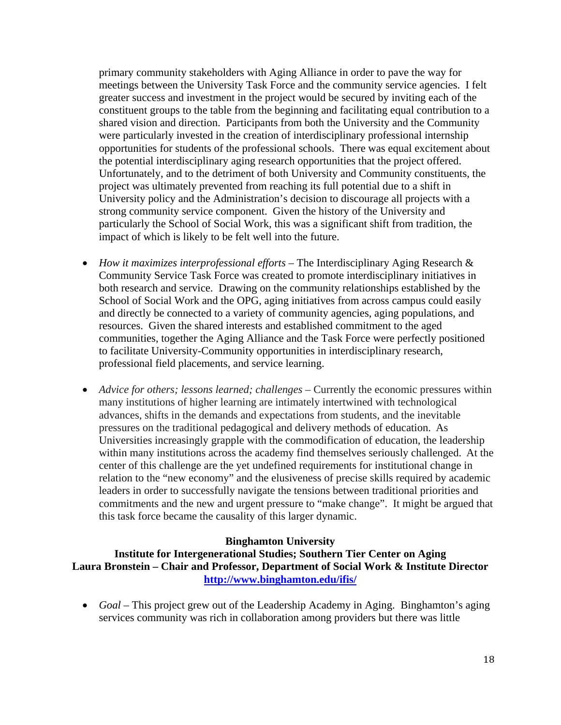primary community stakeholders with Aging Alliance in order to pave the way for meetings between the University Task Force and the community service agencies. I felt greater success and investment in the project would be secured by inviting each of the constituent groups to the table from the beginning and facilitating equal contribution to a shared vision and direction. Participants from both the University and the Community were particularly invested in the creation of interdisciplinary professional internship opportunities for students of the professional schools. There was equal excitement about the potential interdisciplinary aging research opportunities that the project offered. Unfortunately, and to the detriment of both University and Community constituents, the project was ultimately prevented from reaching its full potential due to a shift in University policy and the Administration's decision to discourage all projects with a strong community service component. Given the history of the University and particularly the School of Social Work, this was a significant shift from tradition, the impact of which is likely to be felt well into the future.

- *How it maximizes interprofessional efforts* The Interdisciplinary Aging Research & Community Service Task Force was created to promote interdisciplinary initiatives in both research and service. Drawing on the community relationships established by the School of Social Work and the OPG, aging initiatives from across campus could easily and directly be connected to a variety of community agencies, aging populations, and resources. Given the shared interests and established commitment to the aged communities, together the Aging Alliance and the Task Force were perfectly positioned to facilitate University-Community opportunities in interdisciplinary research, professional field placements, and service learning.
- *Advice for others; lessons learned; challenges* Currently the economic pressures within many institutions of higher learning are intimately intertwined with technological advances, shifts in the demands and expectations from students, and the inevitable pressures on the traditional pedagogical and delivery methods of education. As Universities increasingly grapple with the commodification of education, the leadership within many institutions across the academy find themselves seriously challenged. At the center of this challenge are the yet undefined requirements for institutional change in relation to the "new economy" and the elusiveness of precise skills required by academic leaders in order to successfully navigate the tensions between traditional priorities and commitments and the new and urgent pressure to "make change". It might be argued that this task force became the causality of this larger dynamic.

## **Binghamton University**

**Institute for Intergenerational Studies; Southern Tier Center on Aging Laura Bronstein – Chair and Professor, Department of Social Work & Institute Director http://www.binghamton.edu/ifis/**

 *Goal* – This project grew out of the Leadership Academy in Aging. Binghamton's aging services community was rich in collaboration among providers but there was little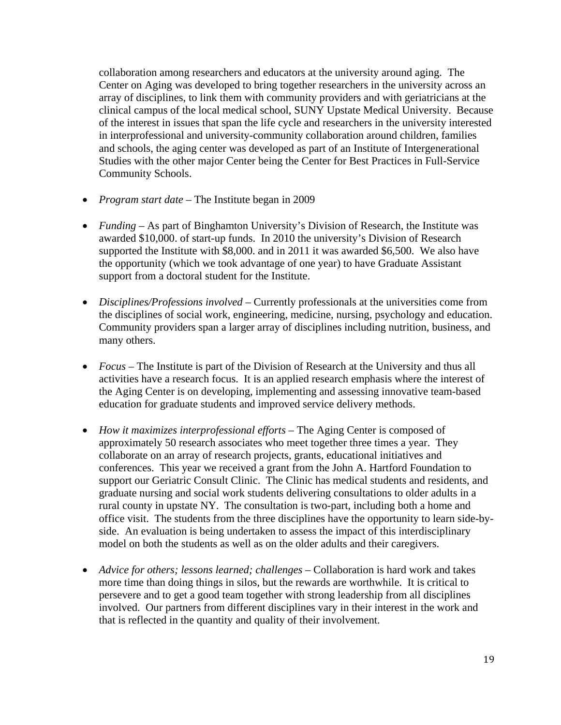collaboration among researchers and educators at the university around aging. The Center on Aging was developed to bring together researchers in the university across an array of disciplines, to link them with community providers and with geriatricians at the clinical campus of the local medical school, SUNY Upstate Medical University. Because of the interest in issues that span the life cycle and researchers in the university interested in interprofessional and university-community collaboration around children, families and schools, the aging center was developed as part of an Institute of Intergenerational Studies with the other major Center being the Center for Best Practices in Full-Service Community Schools.

- *Program start date* The Institute began in 2009
- *Funding* As part of Binghamton University's Division of Research, the Institute was awarded \$10,000. of start-up funds. In 2010 the university's Division of Research supported the Institute with \$8,000. and in 2011 it was awarded \$6,500. We also have the opportunity (which we took advantage of one year) to have Graduate Assistant support from a doctoral student for the Institute.
- *Disciplines/Professions involved* Currently professionals at the universities come from the disciplines of social work, engineering, medicine, nursing, psychology and education. Community providers span a larger array of disciplines including nutrition, business, and many others.
- *Focus* The Institute is part of the Division of Research at the University and thus all activities have a research focus. It is an applied research emphasis where the interest of the Aging Center is on developing, implementing and assessing innovative team-based education for graduate students and improved service delivery methods.
- *How it maximizes interprofessional efforts* The Aging Center is composed of approximately 50 research associates who meet together three times a year. They collaborate on an array of research projects, grants, educational initiatives and conferences. This year we received a grant from the John A. Hartford Foundation to support our Geriatric Consult Clinic. The Clinic has medical students and residents, and graduate nursing and social work students delivering consultations to older adults in a rural county in upstate NY. The consultation is two-part, including both a home and office visit. The students from the three disciplines have the opportunity to learn side-byside. An evaluation is being undertaken to assess the impact of this interdisciplinary model on both the students as well as on the older adults and their caregivers.
- Advice for others; lessons learned; challenges Collaboration is hard work and takes more time than doing things in silos, but the rewards are worthwhile. It is critical to persevere and to get a good team together with strong leadership from all disciplines involved. Our partners from different disciplines vary in their interest in the work and that is reflected in the quantity and quality of their involvement.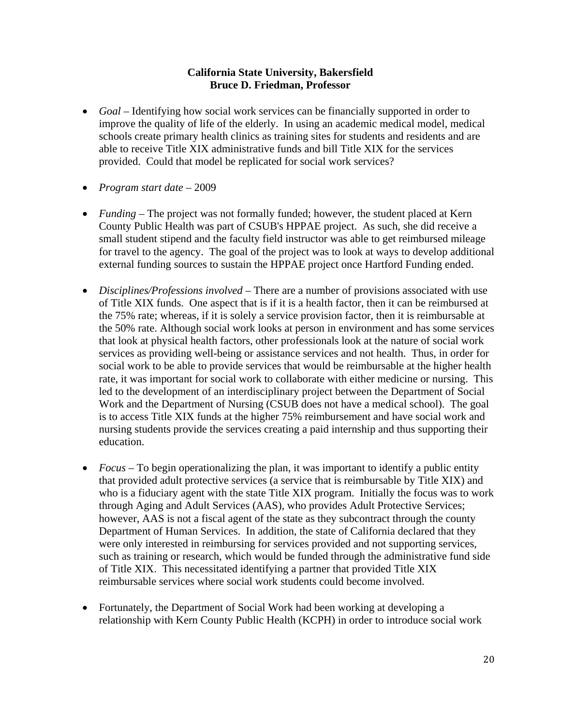# **California State University, Bakersfield Bruce D. Friedman, Professor**

- *Goal* Identifying how social work services can be financially supported in order to improve the quality of life of the elderly. In using an academic medical model, medical schools create primary health clinics as training sites for students and residents and are able to receive Title XIX administrative funds and bill Title XIX for the services provided. Could that model be replicated for social work services?
- *Program start date* 2009
- *Funding* The project was not formally funded; however, the student placed at Kern County Public Health was part of CSUB's HPPAE project. As such, she did receive a small student stipend and the faculty field instructor was able to get reimbursed mileage for travel to the agency. The goal of the project was to look at ways to develop additional external funding sources to sustain the HPPAE project once Hartford Funding ended.
- *Disciplines/Professions involved* There are a number of provisions associated with use of Title XIX funds. One aspect that is if it is a health factor, then it can be reimbursed at the 75% rate; whereas, if it is solely a service provision factor, then it is reimbursable at the 50% rate. Although social work looks at person in environment and has some services that look at physical health factors, other professionals look at the nature of social work services as providing well-being or assistance services and not health. Thus, in order for social work to be able to provide services that would be reimbursable at the higher health rate, it was important for social work to collaborate with either medicine or nursing. This led to the development of an interdisciplinary project between the Department of Social Work and the Department of Nursing (CSUB does not have a medical school). The goal is to access Title XIX funds at the higher 75% reimbursement and have social work and nursing students provide the services creating a paid internship and thus supporting their education.
- *Focus* To begin operationalizing the plan, it was important to identify a public entity that provided adult protective services (a service that is reimbursable by Title XIX) and who is a fiduciary agent with the state Title XIX program. Initially the focus was to work through Aging and Adult Services (AAS), who provides Adult Protective Services; however, AAS is not a fiscal agent of the state as they subcontract through the county Department of Human Services. In addition, the state of California declared that they were only interested in reimbursing for services provided and not supporting services, such as training or research, which would be funded through the administrative fund side of Title XIX. This necessitated identifying a partner that provided Title XIX reimbursable services where social work students could become involved.
- Fortunately, the Department of Social Work had been working at developing a relationship with Kern County Public Health (KCPH) in order to introduce social work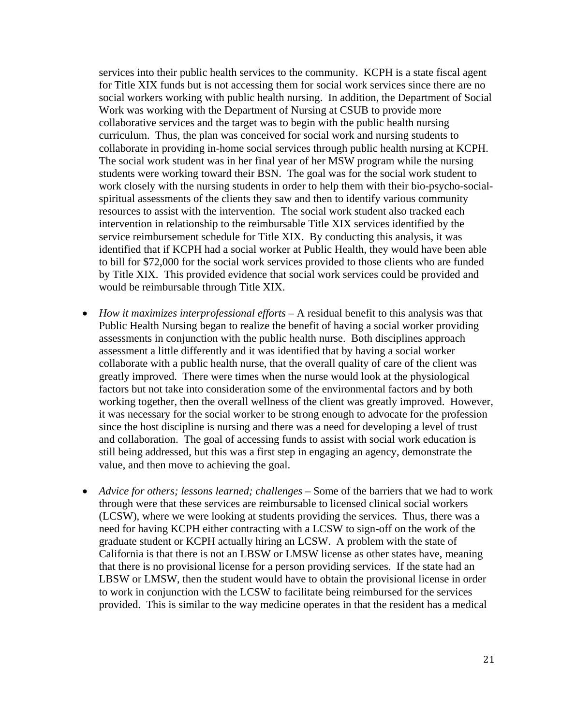services into their public health services to the community. KCPH is a state fiscal agent for Title XIX funds but is not accessing them for social work services since there are no social workers working with public health nursing. In addition, the Department of Social Work was working with the Department of Nursing at CSUB to provide more collaborative services and the target was to begin with the public health nursing curriculum. Thus, the plan was conceived for social work and nursing students to collaborate in providing in-home social services through public health nursing at KCPH. The social work student was in her final year of her MSW program while the nursing students were working toward their BSN. The goal was for the social work student to work closely with the nursing students in order to help them with their bio-psycho-socialspiritual assessments of the clients they saw and then to identify various community resources to assist with the intervention. The social work student also tracked each intervention in relationship to the reimbursable Title XIX services identified by the service reimbursement schedule for Title XIX. By conducting this analysis, it was identified that if KCPH had a social worker at Public Health, they would have been able to bill for \$72,000 for the social work services provided to those clients who are funded by Title XIX. This provided evidence that social work services could be provided and would be reimbursable through Title XIX.

- *How it maximizes interprofessional efforts –* A residual benefit to this analysis was that Public Health Nursing began to realize the benefit of having a social worker providing assessments in conjunction with the public health nurse. Both disciplines approach assessment a little differently and it was identified that by having a social worker collaborate with a public health nurse, that the overall quality of care of the client was greatly improved. There were times when the nurse would look at the physiological factors but not take into consideration some of the environmental factors and by both working together, then the overall wellness of the client was greatly improved. However, it was necessary for the social worker to be strong enough to advocate for the profession since the host discipline is nursing and there was a need for developing a level of trust and collaboration. The goal of accessing funds to assist with social work education is still being addressed, but this was a first step in engaging an agency, demonstrate the value, and then move to achieving the goal.
- *Advice for others; lessons learned; challenges Some of the barriers that we had to work* through were that these services are reimbursable to licensed clinical social workers (LCSW), where we were looking at students providing the services. Thus, there was a need for having KCPH either contracting with a LCSW to sign-off on the work of the graduate student or KCPH actually hiring an LCSW. A problem with the state of California is that there is not an LBSW or LMSW license as other states have, meaning that there is no provisional license for a person providing services. If the state had an LBSW or LMSW, then the student would have to obtain the provisional license in order to work in conjunction with the LCSW to facilitate being reimbursed for the services provided. This is similar to the way medicine operates in that the resident has a medical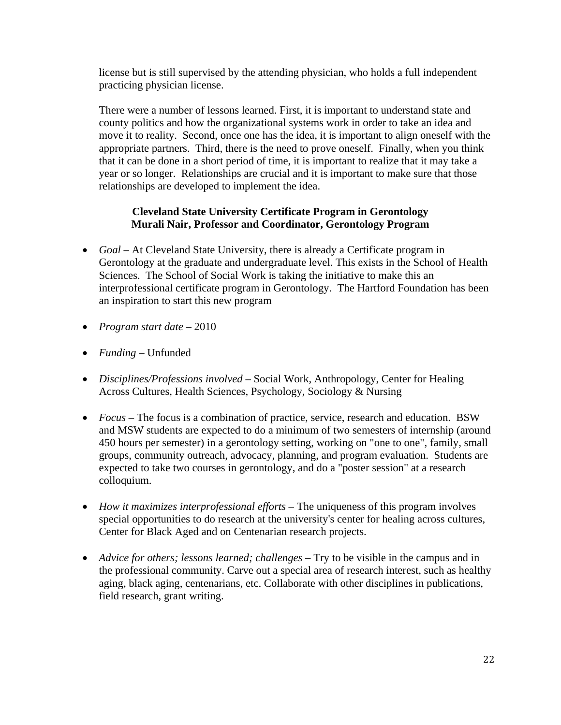license but is still supervised by the attending physician, who holds a full independent practicing physician license.

There were a number of lessons learned. First, it is important to understand state and county politics and how the organizational systems work in order to take an idea and move it to reality. Second, once one has the idea, it is important to align oneself with the appropriate partners. Third, there is the need to prove oneself. Finally, when you think that it can be done in a short period of time, it is important to realize that it may take a year or so longer. Relationships are crucial and it is important to make sure that those relationships are developed to implement the idea.

# **Cleveland State University Certificate Program in Gerontology Murali Nair, Professor and Coordinator, Gerontology Program**

- *Goal* At Cleveland State University, there is already a Certificate program in Gerontology at the graduate and undergraduate level. This exists in the School of Health Sciences. The School of Social Work is taking the initiative to make this an interprofessional certificate program in Gerontology. The Hartford Foundation has been an inspiration to start this new program
- *Program start date* 2010
- *Funding* Unfunded
- *Disciplines/Professions involved* Social Work, Anthropology, Center for Healing Across Cultures, Health Sciences, Psychology, Sociology & Nursing
- *Focus* The focus is a combination of practice, service, research and education. BSW and MSW students are expected to do a minimum of two semesters of internship (around 450 hours per semester) in a gerontology setting, working on "one to one", family, small groups, community outreach, advocacy, planning, and program evaluation. Students are expected to take two courses in gerontology, and do a "poster session" at a research colloquium.
- *How it maximizes interprofessional efforts* The uniqueness of this program involves special opportunities to do research at the university's center for healing across cultures, Center for Black Aged and on Centenarian research projects.
- *Advice for others; lessons learned; challenges –* Try to be visible in the campus and in the professional community. Carve out a special area of research interest, such as healthy aging, black aging, centenarians, etc. Collaborate with other disciplines in publications, field research, grant writing.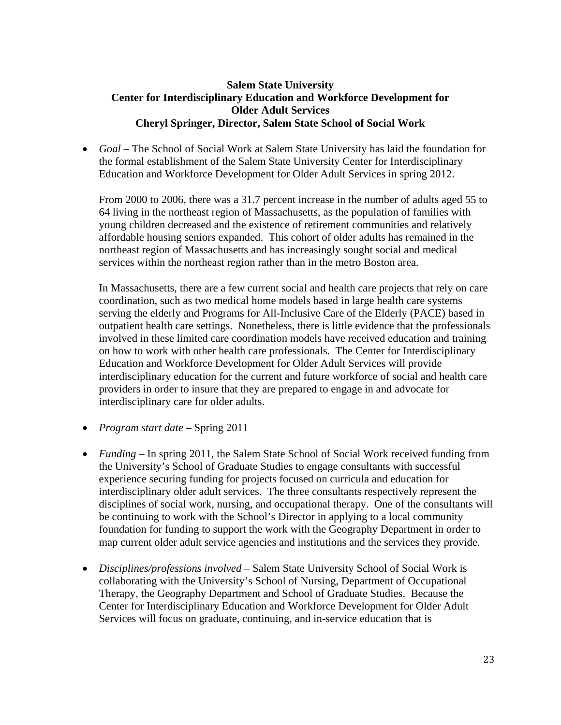# **Salem State University Center for Interdisciplinary Education and Workforce Development for Older Adult Services Cheryl Springer, Director, Salem State School of Social Work**

 *Goal –* The School of Social Work at Salem State University has laid the foundation for the formal establishment of the Salem State University Center for Interdisciplinary Education and Workforce Development for Older Adult Services in spring 2012.

From 2000 to 2006, there was a 31.7 percent increase in the number of adults aged 55 to 64 living in the northeast region of Massachusetts, as the population of families with young children decreased and the existence of retirement communities and relatively affordable housing seniors expanded. This cohort of older adults has remained in the northeast region of Massachusetts and has increasingly sought social and medical services within the northeast region rather than in the metro Boston area.

In Massachusetts, there are a few current social and health care projects that rely on care coordination, such as two medical home models based in large health care systems serving the elderly and Programs for All-Inclusive Care of the Elderly (PACE) based in outpatient health care settings. Nonetheless, there is little evidence that the professionals involved in these limited care coordination models have received education and training on how to work with other health care professionals. The Center for Interdisciplinary Education and Workforce Development for Older Adult Services will provide interdisciplinary education for the current and future workforce of social and health care providers in order to insure that they are prepared to engage in and advocate for interdisciplinary care for older adults.

- *Program start date* Spring 2011
- *Funding* In spring 2011, the Salem State School of Social Work received funding from the University's School of Graduate Studies to engage consultants with successful experience securing funding for projects focused on curricula and education for interdisciplinary older adult services. The three consultants respectively represent the disciplines of social work, nursing, and occupational therapy. One of the consultants will be continuing to work with the School's Director in applying to a local community foundation for funding to support the work with the Geography Department in order to map current older adult service agencies and institutions and the services they provide.
- *Disciplines/professions involved* Salem State University School of Social Work is collaborating with the University's School of Nursing, Department of Occupational Therapy, the Geography Department and School of Graduate Studies. Because the Center for Interdisciplinary Education and Workforce Development for Older Adult Services will focus on graduate, continuing, and in-service education that is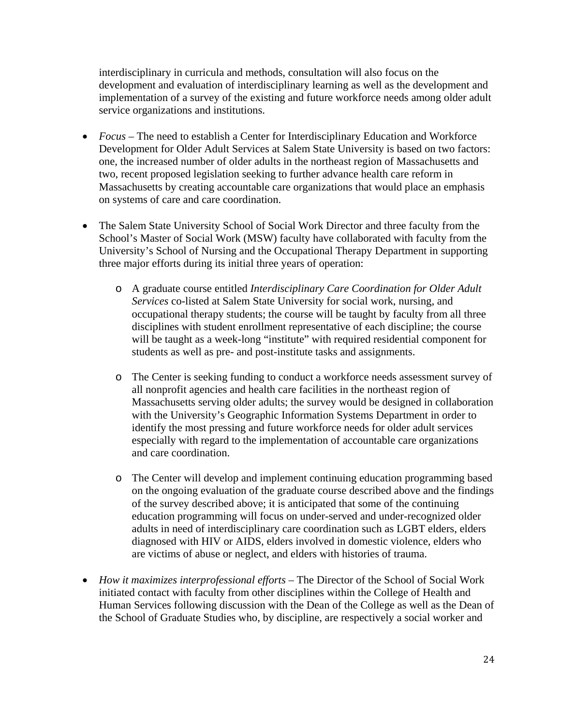interdisciplinary in curricula and methods, consultation will also focus on the development and evaluation of interdisciplinary learning as well as the development and implementation of a survey of the existing and future workforce needs among older adult service organizations and institutions.

- *Focus* The need to establish a Center for Interdisciplinary Education and Workforce Development for Older Adult Services at Salem State University is based on two factors: one, the increased number of older adults in the northeast region of Massachusetts and two, recent proposed legislation seeking to further advance health care reform in Massachusetts by creating accountable care organizations that would place an emphasis on systems of care and care coordination.
- The Salem State University School of Social Work Director and three faculty from the School's Master of Social Work (MSW) faculty have collaborated with faculty from the University's School of Nursing and the Occupational Therapy Department in supporting three major efforts during its initial three years of operation:
	- o A graduate course entitled *Interdisciplinary Care Coordination for Older Adult Services* co-listed at Salem State University for social work, nursing, and occupational therapy students; the course will be taught by faculty from all three disciplines with student enrollment representative of each discipline; the course will be taught as a week-long "institute" with required residential component for students as well as pre- and post-institute tasks and assignments.
	- o The Center is seeking funding to conduct a workforce needs assessment survey of all nonprofit agencies and health care facilities in the northeast region of Massachusetts serving older adults; the survey would be designed in collaboration with the University's Geographic Information Systems Department in order to identify the most pressing and future workforce needs for older adult services especially with regard to the implementation of accountable care organizations and care coordination.
	- o The Center will develop and implement continuing education programming based on the ongoing evaluation of the graduate course described above and the findings of the survey described above; it is anticipated that some of the continuing education programming will focus on under-served and under-recognized older adults in need of interdisciplinary care coordination such as LGBT elders, elders diagnosed with HIV or AIDS, elders involved in domestic violence, elders who are victims of abuse or neglect, and elders with histories of trauma.
- *How it maximizes interprofessional efforts* The Director of the School of Social Work initiated contact with faculty from other disciplines within the College of Health and Human Services following discussion with the Dean of the College as well as the Dean of the School of Graduate Studies who, by discipline, are respectively a social worker and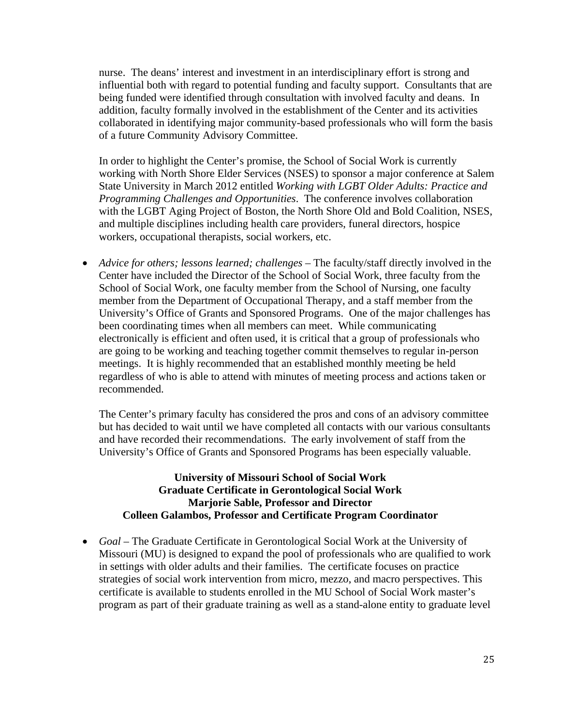nurse. The deans' interest and investment in an interdisciplinary effort is strong and influential both with regard to potential funding and faculty support. Consultants that are being funded were identified through consultation with involved faculty and deans. In addition, faculty formally involved in the establishment of the Center and its activities collaborated in identifying major community-based professionals who will form the basis of a future Community Advisory Committee.

In order to highlight the Center's promise, the School of Social Work is currently working with North Shore Elder Services (NSES) to sponsor a major conference at Salem State University in March 2012 entitled *Working with LGBT Older Adults: Practice and Programming Challenges and Opportunities*. The conference involves collaboration with the LGBT Aging Project of Boston, the North Shore Old and Bold Coalition, NSES, and multiple disciplines including health care providers, funeral directors, hospice workers, occupational therapists, social workers, etc.

• *Advice for others; lessons learned; challenges –* The faculty/staff directly involved in the Center have included the Director of the School of Social Work, three faculty from the School of Social Work, one faculty member from the School of Nursing, one faculty member from the Department of Occupational Therapy, and a staff member from the University's Office of Grants and Sponsored Programs. One of the major challenges has been coordinating times when all members can meet. While communicating electronically is efficient and often used, it is critical that a group of professionals who are going to be working and teaching together commit themselves to regular in-person meetings. It is highly recommended that an established monthly meeting be held regardless of who is able to attend with minutes of meeting process and actions taken or recommended.

The Center's primary faculty has considered the pros and cons of an advisory committee but has decided to wait until we have completed all contacts with our various consultants and have recorded their recommendations. The early involvement of staff from the University's Office of Grants and Sponsored Programs has been especially valuable.

## **University of Missouri School of Social Work Graduate Certificate in Gerontological Social Work Marjorie Sable, Professor and Director Colleen Galambos, Professor and Certificate Program Coordinator**

 *Goal –* The Graduate Certificate in Gerontological Social Work at the University of Missouri (MU) is designed to expand the pool of professionals who are qualified to work in settings with older adults and their families. The certificate focuses on practice strategies of social work intervention from micro, mezzo, and macro perspectives. This certificate is available to students enrolled in the MU School of Social Work master's program as part of their graduate training as well as a stand-alone entity to graduate level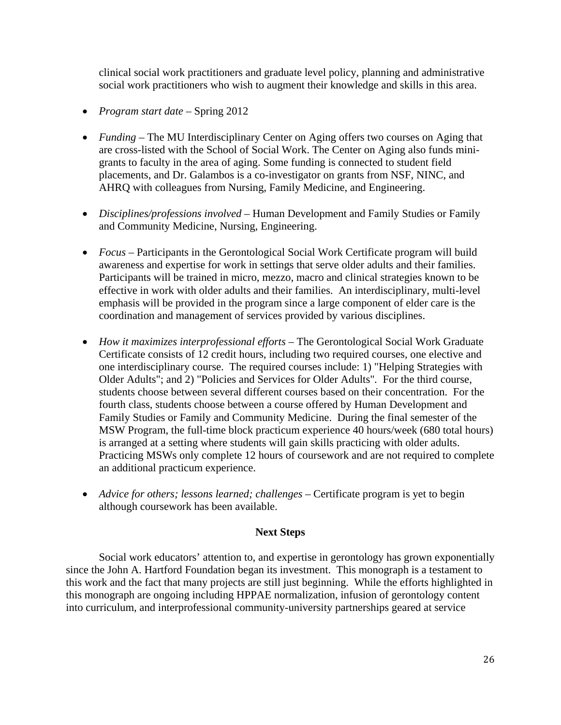clinical social work practitioners and graduate level policy, planning and administrative social work practitioners who wish to augment their knowledge and skills in this area.

- *Program start date* Spring 2012
- *Funding* The MU Interdisciplinary Center on Aging offers two courses on Aging that are cross-listed with the School of Social Work. The Center on Aging also funds minigrants to faculty in the area of aging. Some funding is connected to student field placements, and Dr. Galambos is a co-investigator on grants from NSF, NINC, and AHRQ with colleagues from Nursing, Family Medicine, and Engineering.
- *Disciplines/professions involved* Human Development and Family Studies or Family and Community Medicine, Nursing, Engineering.
- *Focus* Participants in the Gerontological Social Work Certificate program will build awareness and expertise for work in settings that serve older adults and their families. Participants will be trained in micro, mezzo, macro and clinical strategies known to be effective in work with older adults and their families. An interdisciplinary, multi-level emphasis will be provided in the program since a large component of elder care is the coordination and management of services provided by various disciplines.
- *How it maximizes interprofessional efforts* The Gerontological Social Work Graduate Certificate consists of 12 credit hours, including two required courses, one elective and one interdisciplinary course. The required courses include: 1) "Helping Strategies with Older Adults"; and 2) "Policies and Services for Older Adults"*.* For the third course, students choose between several different courses based on their concentration. For the fourth class, students choose between a course offered by Human Development and Family Studies or Family and Community Medicine. During the final semester of the MSW Program, the full-time block practicum experience 40 hours/week (680 total hours) is arranged at a setting where students will gain skills practicing with older adults. Practicing MSWs only complete 12 hours of coursework and are not required to complete an additional practicum experience.
- Advice for others; lessons learned; challenges Certificate program is yet to begin although coursework has been available.

## **Next Steps**

Social work educators' attention to, and expertise in gerontology has grown exponentially since the John A. Hartford Foundation began its investment. This monograph is a testament to this work and the fact that many projects are still just beginning. While the efforts highlighted in this monograph are ongoing including HPPAE normalization, infusion of gerontology content into curriculum, and interprofessional community-university partnerships geared at service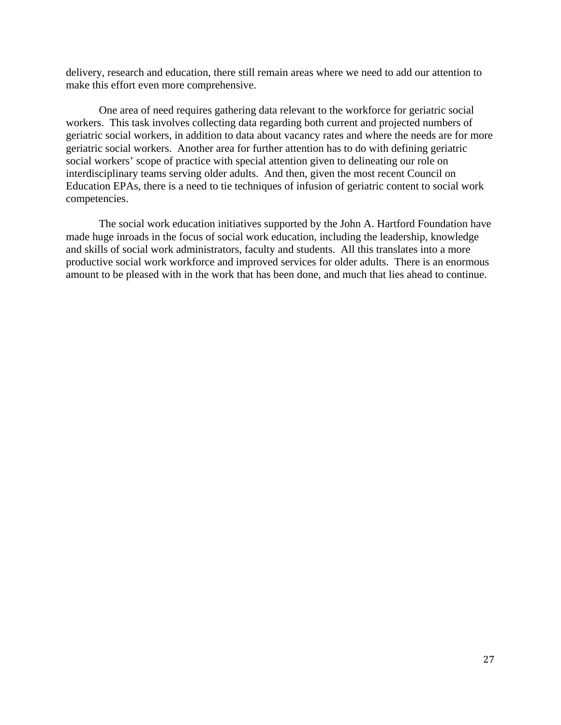delivery, research and education, there still remain areas where we need to add our attention to make this effort even more comprehensive.

One area of need requires gathering data relevant to the workforce for geriatric social workers. This task involves collecting data regarding both current and projected numbers of geriatric social workers, in addition to data about vacancy rates and where the needs are for more geriatric social workers. Another area for further attention has to do with defining geriatric social workers' scope of practice with special attention given to delineating our role on interdisciplinary teams serving older adults. And then, given the most recent Council on Education EPAs, there is a need to tie techniques of infusion of geriatric content to social work competencies.

The social work education initiatives supported by the John A. Hartford Foundation have made huge inroads in the focus of social work education, including the leadership, knowledge and skills of social work administrators, faculty and students. All this translates into a more productive social work workforce and improved services for older adults. There is an enormous amount to be pleased with in the work that has been done, and much that lies ahead to continue.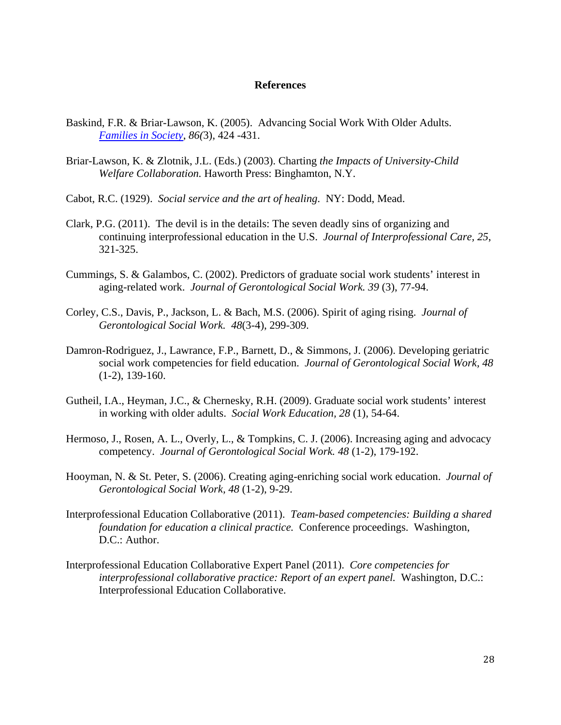#### **References**

- Baskind, F.R. & Briar-Lawson, K. (2005). Advancing Social Work With Older Adults. *Families in Society*, *86(*3), 424 -431.
- Briar-Lawson, K. & Zlotnik, J.L. (Eds.) (2003). Charting *the Impacts of University-Child Welfare Collaboration.* Haworth Press: Binghamton, N.Y.
- Cabot, R.C. (1929). *Social service and the art of healing*. NY: Dodd, Mead.
- Clark, P.G. (2011). The devil is in the details: The seven deadly sins of organizing and continuing interprofessional education in the U.S. *Journal of Interprofessional Care, 25*, 321-325.
- Cummings, S. & Galambos, C. (2002). Predictors of graduate social work students' interest in aging-related work. *Journal of Gerontological Social Work. 39* (3), 77-94.
- Corley, C.S., Davis, P., Jackson, L. & Bach, M.S. (2006). Spirit of aging rising. *Journal of Gerontological Social Work. 48*(3-4), 299-309.
- Damron-Rodriguez, J., Lawrance, F.P., Barnett, D., & Simmons, J. (2006). Developing geriatric social work competencies for field education. *Journal of Gerontological Social Work, 48* (1-2), 139-160.
- Gutheil, I.A., Heyman, J.C., & Chernesky, R.H. (2009). Graduate social work students' interest in working with older adults. *Social Work Education, 28* (1), 54-64.
- Hermoso, J., Rosen, A. L., Overly, L., & Tompkins, C. J. (2006). Increasing aging and advocacy competency. *Journal of Gerontological Social Work. 48* (1-2), 179-192.
- Hooyman, N. & St. Peter, S. (2006). Creating aging-enriching social work education. *Journal of Gerontological Social Work, 48* (1-2), 9-29.
- Interprofessional Education Collaborative (2011). *Team-based competencies: Building a shared foundation for education a clinical practice.* Conference proceedings. Washington, D.C.: Author.
- Interprofessional Education Collaborative Expert Panel (2011). *Core competencies for interprofessional collaborative practice: Report of an expert panel.* Washington, D.C.: Interprofessional Education Collaborative.